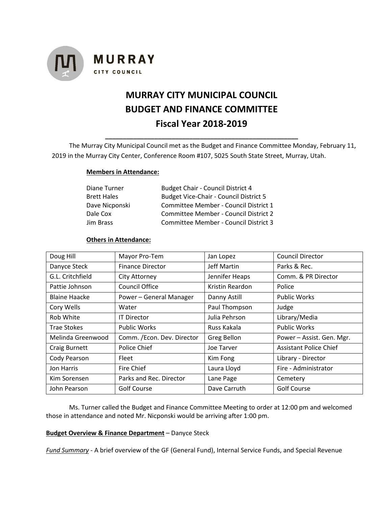

# **MURRAY CITY MUNICIPAL COUNCIL BUDGET AND FINANCE COMMITTEE Fiscal Year 2018-2019**

The Murray City Municipal Council met as the Budget and Finance Committee Monday, February 11, 2019 in the Murray City Center, Conference Room #107, 5025 South State Street, Murray, Utah.

**\_\_\_\_\_\_\_\_\_\_\_\_\_\_\_\_\_\_\_\_\_\_\_\_\_\_\_\_\_\_\_\_\_\_\_\_\_\_\_\_\_\_\_\_\_\_\_\_\_\_\_\_\_\_\_**

## **Members in Attendance:**

| Diane Turner       | <b>Budget Chair - Council District 4</b>      |  |  |
|--------------------|-----------------------------------------------|--|--|
| <b>Brett Hales</b> | <b>Budget Vice-Chair - Council District 5</b> |  |  |
| Dave Nicponski     | Committee Member - Council District 1         |  |  |
| Dale Cox           | Committee Member - Council District 2         |  |  |
| Jim Brass          | Committee Member - Council District 3         |  |  |

## **Others in Attendance:**

| Doug Hill            | Mayor Pro-Tem               | Jan Lopez       | <b>Council Director</b>       |
|----------------------|-----------------------------|-----------------|-------------------------------|
| Danyce Steck         | <b>Finance Director</b>     | Jeff Martin     | Parks & Rec.                  |
| G.L. Critchfield     | City Attorney               | Jennifer Heaps  | Comm. & PR Director           |
| Pattie Johnson       | Council Office              | Kristin Reardon | Police                        |
| <b>Blaine Haacke</b> | Power - General Manager     | Danny Astill    | <b>Public Works</b>           |
| Cory Wells           | Water                       | Paul Thompson   | Judge                         |
| Rob White            | <b>IT Director</b>          | Julia Pehrson   | Library/Media                 |
| <b>Trae Stokes</b>   | <b>Public Works</b>         | Russ Kakala     | <b>Public Works</b>           |
| Melinda Greenwood    | Comm. / Econ. Dev. Director | Greg Bellon     | Power - Assist. Gen. Mgr.     |
| Craig Burnett        | Police Chief                | Joe Tarver      | <b>Assistant Police Chief</b> |
| Cody Pearson         | Fleet                       | Kim Fong        | Library - Director            |
| Jon Harris           | Fire Chief                  | Laura Lloyd     | Fire - Administrator          |
| Kim Sorensen         | Parks and Rec. Director     | Lane Page       | Cemetery                      |
| John Pearson         | <b>Golf Course</b>          | Dave Carruth    | <b>Golf Course</b>            |

Ms. Turner called the Budget and Finance Committee Meeting to order at 12:00 pm and welcomed those in attendance and noted Mr. Nicponski would be arriving after 1:00 pm.

## **Budget Overview & Finance Department** – Danyce Steck

*Fund Summary* - A brief overview of the GF (General Fund), Internal Service Funds, and Special Revenue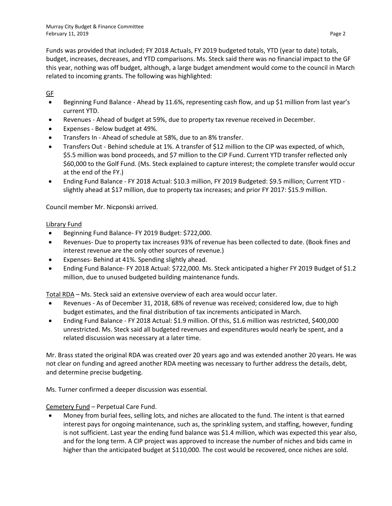Funds was provided that included; FY 2018 Actuals, FY 2019 budgeted totals, YTD (year to date) totals, budget, increases, decreases, and YTD comparisons. Ms. Steck said there was no financial impact to the GF this year, nothing was off budget, although, a large budget amendment would come to the council in March related to incoming grants. The following was highlighted:

GF

- Beginning Fund Balance Ahead by 11.6%, representing cash flow, and up \$1 million from last year's current YTD.
- Revenues Ahead of budget at 59%, due to property tax revenue received in December.
- Expenses Below budget at 49%.
- Transfers In Ahead of schedule at 58%, due to an 8% transfer.
- Transfers Out Behind schedule at 1%. A transfer of \$12 million to the CIP was expected, of which, \$5.5 million was bond proceeds, and \$7 million to the CIP Fund. Current YTD transfer reflected only \$60,000 to the Golf Fund. (Ms. Steck explained to capture interest; the complete transfer would occur at the end of the FY.)
- Ending Fund Balance FY 2018 Actual: \$10.3 million, FY 2019 Budgeted: \$9.5 million; Current YTD slightly ahead at \$17 million, due to property tax increases; and prior FY 2017: \$15.9 million.

Council member Mr. Nicponski arrived.

## Library Fund

- Beginning Fund Balance- FY 2019 Budget: \$722,000.
- Revenues- Due to property tax increases 93% of revenue has been collected to date. (Book fines and interest revenue are the only other sources of revenue.)
- Expenses- Behind at 41%. Spending slightly ahead.
- Ending Fund Balance- FY 2018 Actual: \$722,000. Ms. Steck anticipated a higher FY 2019 Budget of \$1.2 million, due to unused budgeted building maintenance funds.

Total RDA – Ms. Steck said an extensive overview of each area would occur later.

- Revenues As of December 31, 2018, 68% of revenue was received; considered low, due to high budget estimates, and the final distribution of tax increments anticipated in March.
- Ending Fund Balance FY 2018 Actual: \$1.9 million. Of this, \$1.6 million was restricted, \$400,000 unrestricted. Ms. Steck said all budgeted revenues and expenditures would nearly be spent, and a related discussion was necessary at a later time.

Mr. Brass stated the original RDA was created over 20 years ago and was extended another 20 years. He was not clear on funding and agreed another RDA meeting was necessary to further address the details, debt, and determine precise budgeting.

Ms. Turner confirmed a deeper discussion was essential.

# Cemetery Fund – Perpetual Care Fund.

• Money from burial fees, selling lots, and niches are allocated to the fund. The intent is that earned interest pays for ongoing maintenance, such as, the sprinkling system, and staffing, however, funding is not sufficient. Last year the ending fund balance was \$1.4 million, which was expected this year also, and for the long term. A CIP project was approved to increase the number of niches and bids came in higher than the anticipated budget at \$110,000. The cost would be recovered, once niches are sold.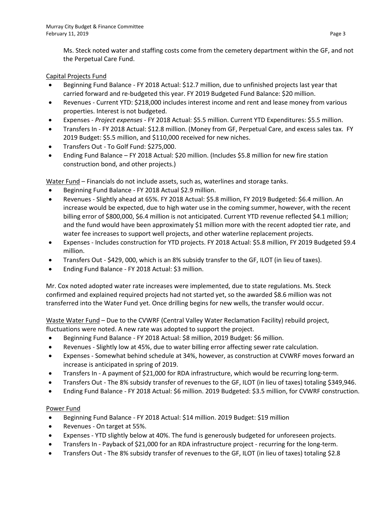Ms. Steck noted water and staffing costs come from the cemetery department within the GF, and not the Perpetual Care Fund.

# Capital Projects Fund

- Beginning Fund Balance FY 2018 Actual: \$12.7 million, due to unfinished projects last year that carried forward and re-budgeted this year. FY 2019 Budgeted Fund Balance: \$20 million.
- Revenues Current YTD: \$218,000 includes interest income and rent and lease money from various properties. Interest is not budgeted.
- Expenses *Project expenses* FY 2018 Actual: \$5.5 million. Current YTD Expenditures: \$5.5 million.
- Transfers In FY 2018 Actual: \$12.8 million. (Money from GF, Perpetual Care, and excess sales tax. FY 2019 Budget: \$5.5 million, and \$110,000 received for new niches.
- Transfers Out To Golf Fund: \$275,000.
- Ending Fund Balance FY 2018 Actual: \$20 million. (Includes \$5.8 million for new fire station construction bond, and other projects.)

Water Fund – Financials do not include assets, such as, waterlines and storage tanks.

- Beginning Fund Balance FY 2018 Actual \$2.9 million.
- Revenues Slightly ahead at 65%. FY 2018 Actual: \$5.8 million, FY 2019 Budgeted: \$6.4 million. An increase would be expected, due to high water use in the coming summer, however, with the recent billing error of \$800,000, \$6.4 million is not anticipated. Current YTD revenue reflected \$4.1 million; and the fund would have been approximately \$1 million more with the recent adopted tier rate, and water fee increases to support well projects, and other waterline replacement projects.
- Expenses Includes construction for YTD projects. FY 2018 Actual: \$5.8 million, FY 2019 Budgeted \$9.4 million.
- Transfers Out \$429, 000, which is an 8% subsidy transfer to the GF, ILOT (in lieu of taxes).
- Ending Fund Balance FY 2018 Actual: \$3 million.

Mr. Cox noted adopted water rate increases were implemented, due to state regulations. Ms. Steck confirmed and explained required projects had not started yet, so the awarded \$8.6 million was not transferred into the Water Fund yet. Once drilling begins for new wells, the transfer would occur.

Waste Water Fund – Due to the CVWRF (Central Valley Water Reclamation Facility) rebuild project, fluctuations were noted. A new rate was adopted to support the project.

- Beginning Fund Balance FY 2018 Actual: \$8 million, 2019 Budget: \$6 million.
- Revenues Slightly low at 45%, due to water billing error affecting sewer rate calculation.
- Expenses Somewhat behind schedule at 34%, however, as construction at CVWRF moves forward an increase is anticipated in spring of 2019.
- Transfers In A payment of \$21,000 for RDA infrastructure, which would be recurring long-term.
- Transfers Out The 8% subsidy transfer of revenues to the GF, ILOT (in lieu of taxes) totaling \$349,946.
- Ending Fund Balance FY 2018 Actual: \$6 million. 2019 Budgeted: \$3.5 million, for CVWRF construction.

# Power Fund

- Beginning Fund Balance FY 2018 Actual: \$14 million. 2019 Budget: \$19 million
- Revenues On target at 55%.
- Expenses YTD slightly below at 40%. The fund is generously budgeted for unforeseen projects.
- Transfers In Payback of \$21,000 for an RDA infrastructure project recurring for the long-term.
- Transfers Out The 8% subsidy transfer of revenues to the GF, ILOT (in lieu of taxes) totaling \$2.8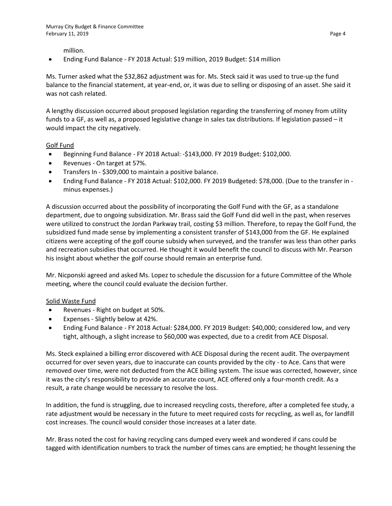million.

• Ending Fund Balance - FY 2018 Actual: \$19 million, 2019 Budget: \$14 million

Ms. Turner asked what the \$32,862 adjustment was for. Ms. Steck said it was used to true-up the fund balance to the financial statement, at year-end, or, it was due to selling or disposing of an asset. She said it was not cash related.

A lengthy discussion occurred about proposed legislation regarding the transferring of money from utility funds to a GF, as well as, a proposed legislative change in sales tax distributions. If legislation passed – it would impact the city negatively.

## Golf Fund

- Beginning Fund Balance FY 2018 Actual: -\$143,000. FY 2019 Budget: \$102,000.
- Revenues On target at 57%.
- Transfers In \$309,000 to maintain a positive balance.
- Ending Fund Balance FY 2018 Actual: \$102,000. FY 2019 Budgeted: \$78,000. (Due to the transfer in minus expenses.)

A discussion occurred about the possibility of incorporating the Golf Fund with the GF, as a standalone department, due to ongoing subsidization. Mr. Brass said the Golf Fund did well in the past, when reserves were utilized to construct the Jordan Parkway trail, costing \$3 million. Therefore, to repay the Golf Fund, the subsidized fund made sense by implementing a consistent transfer of \$143,000 from the GF. He explained citizens were accepting of the golf course subsidy when surveyed, and the transfer was less than other parks and recreation subsidies that occurred. He thought it would benefit the council to discuss with Mr. Pearson his insight about whether the golf course should remain an enterprise fund.

Mr. Nicponski agreed and asked Ms. Lopez to schedule the discussion for a future Committee of the Whole meeting, where the council could evaluate the decision further.

## Solid Waste Fund

- Revenues Right on budget at 50%.
- Expenses Slightly below at 42%.
- Ending Fund Balance FY 2018 Actual: \$284,000. FY 2019 Budget: \$40,000; considered low, and very tight, although, a slight increase to \$60,000 was expected, due to a credit from ACE Disposal.

Ms. Steck explained a billing error discovered with ACE Disposal during the recent audit. The overpayment occurred for over seven years, due to inaccurate can counts provided by the city - to Ace. Cans that were removed over time, were not deducted from the ACE billing system. The issue was corrected, however, since it was the city's responsibility to provide an accurate count, ACE offered only a four-month credit. As a result, a rate change would be necessary to resolve the loss.

In addition, the fund is struggling, due to increased recycling costs, therefore, after a completed fee study, a rate adjustment would be necessary in the future to meet required costs for recycling, as well as, for landfill cost increases. The council would consider those increases at a later date.

Mr. Brass noted the cost for having recycling cans dumped every week and wondered if cans could be tagged with identification numbers to track the number of times cans are emptied; he thought lessening the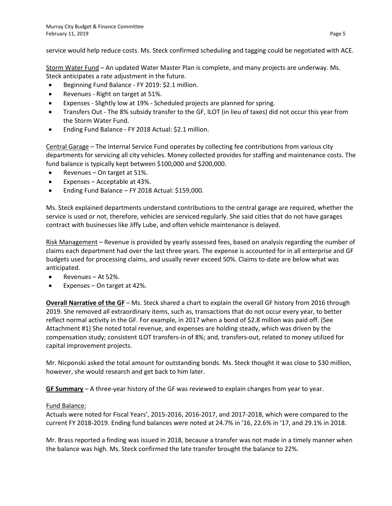service would help reduce costs. Ms. Steck confirmed scheduling and tagging could be negotiated with ACE.

Storm Water Fund – An updated Water Master Plan is complete, and many projects are underway. Ms. Steck anticipates a rate adjustment in the future.

- Beginning Fund Balance FY 2019: \$2.1 million.
- Revenues Right on target at 51%.
- Expenses Slightly low at 19% Scheduled projects are planned for spring.
- Transfers Out The 8% subsidy transfer to the GF, ILOT (in lieu of taxes) did not occur this year from the Storm Water Fund.
- Ending Fund Balance FY 2018 Actual: \$2.1 million.

Central Garage – The Internal Service Fund operates by collecting fee contributions from various city departments for servicing all city vehicles. Money collected provides for staffing and maintenance costs. The fund balance is typically kept between \$100,000 and \$200,000.

- Revenues On target at 51%.
- Expenses Acceptable at 43%.
- Ending Fund Balance FY 2018 Actual: \$159,000.

Ms. Steck explained departments understand contributions to the central garage are required, whether the service is used or not, therefore, vehicles are serviced regularly. She said cities that do not have garages contract with businesses like Jiffy Lube, and often vehicle maintenance is delayed.

Risk Management – Revenue is provided by yearly assessed fees, based on analysis regarding the number of claims each department had over the last three years. The expense is accounted for in all enterprise and GF budgets used for processing claims, and usually never exceed 50%. Claims to-date are below what was anticipated.

- Revenues At 52%.
- Expenses On target at 42%.

**Overall Narrative of the GF** – Ms. Steck shared a chart to explain the overall GF history from 2016 through 2019. She removed all extraordinary items, such as, transactions that do not occur every year, to better reflect normal activity in the GF. For example, in 2017 when a bond of \$2.8 million was paid off. (See Attachment #1) She noted total revenue, and expenses are holding steady, which was driven by the compensation study; consistent ILOT transfers-in of 8%; and, transfers-out, related to money utilized for capital improvement projects.

Mr. Nicponski asked the total amount for outstanding bonds. Ms. Steck thought it was close to \$30 million, however, she would research and get back to him later.

**GF Summary** – A three-year history of the GF was reviewed to explain changes from year to year.

## Fund Balance:

Actuals were noted for Fiscal Years', 2015-2016, 2016-2017, and 2017-2018, which were compared to the current FY 2018-2019. Ending fund balances were noted at 24.7% in '16, 22.6% in '17, and 29.1% in 2018.

Mr. Brass reported a finding was issued in 2018, because a transfer was not made in a timely manner when the balance was high. Ms. Steck confirmed the late transfer brought the balance to 22%.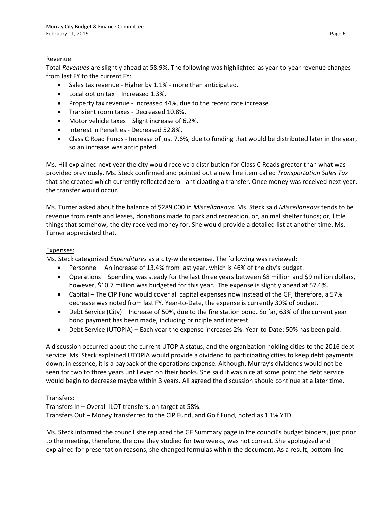## Revenue:

Total *Revenues* are slightly ahead at 58.9%. The following was highlighted as year-to-year revenue changes from last FY to the current FY:

- Sales tax revenue Higher by 1.1% more than anticipated.
- Local option tax Increased 1.3%.
- Property tax revenue Increased 44%, due to the recent rate increase.
- Transient room taxes Decreased 10.8%.
- Motor vehicle taxes Slight increase of 6.2%.
- Interest in Penalties Decreased 52.8%.
- Class C Road Funds Increase of just 7.6%, due to funding that would be distributed later in the year, so an increase was anticipated.

Ms. Hill explained next year the city would receive a distribution for Class C Roads greater than what was provided previously. Ms. Steck confirmed and pointed out a new line item called *Transportation Sales Tax* that she created which currently reflected zero - anticipating a transfer. Once money was received next year, the transfer would occur.

Ms. Turner asked about the balance of \$289,000 in *Miscellaneous*. Ms. Steck said *Miscellaneous* tends to be revenue from rents and leases, donations made to park and recreation, or, animal shelter funds; or, little things that somehow, the city received money for. She would provide a detailed list at another time. Ms. Turner appreciated that.

#### Expenses:

Ms. Steck categorized *Expenditures* as a city-wide expense. The following was reviewed:

- Personnel An increase of 13.4% from last year, which is 46% of the city's budget.
- Operations Spending was steady for the last three years between \$8 million and \$9 million dollars, however, \$10.7 million was budgeted for this year. The expense is slightly ahead at 57.6%.
- Capital The CIP Fund would cover all capital expenses now instead of the GF; therefore, a 57% decrease was noted from last FY. Year-to-Date, the expense is currently 30% of budget.
- Debt Service (City) Increase of 50%, due to the fire station bond. So far, 63% of the current year bond payment has been made, including principle and interest.
- Debt Service (UTOPIA) Each year the expense increases 2%. Year-to-Date: 50% has been paid.

A discussion occurred about the current UTOPIA status, and the organization holding cities to the 2016 debt service. Ms. Steck explained UTOPIA would provide a dividend to participating cities to keep debt payments down; in essence, it is a payback of the operations expense. Although, Murray's dividends would not be seen for two to three years until even on their books. She said it was nice at some point the debt service would begin to decrease maybe within 3 years. All agreed the discussion should continue at a later time.

## Transfers:

Transfers In – Overall ILOT transfers, on target at 58%. Transfers Out – Money transferred to the CIP Fund, and Golf Fund, noted as 1.1% YTD.

Ms. Steck informed the council she replaced the GF Summary page in the council's budget binders, just prior to the meeting, therefore, the one they studied for two weeks, was not correct. She apologized and explained for presentation reasons, she changed formulas within the document. As a result, bottom line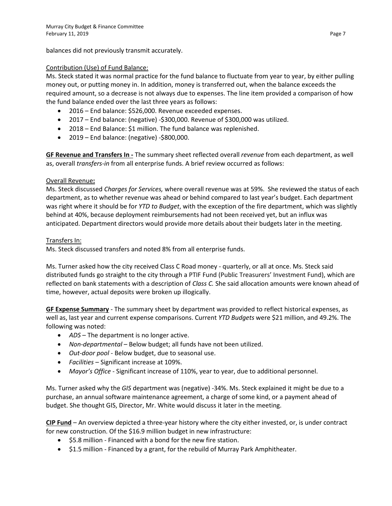balances did not previously transmit accurately.

## Contribution (Use) of Fund Balance:

Ms. Steck stated it was normal practice for the fund balance to fluctuate from year to year, by either pulling money out, or putting money in. In addition, money is transferred out, when the balance exceeds the required amount, so a decrease is not always due to expenses. The line item provided a comparison of how the fund balance ended over the last three years as follows:

- 2016 End balance: \$526,000. Revenue exceeded expenses.
- 2017 End balance: (negative) -\$300,000. Revenue of \$300,000 was utilized.
- 2018 End Balance: \$1 million. The fund balance was replenished.
- $\bullet$  2019 End balance: (negative) -\$800,000.

**GF Revenue and Transfers In -** The summary sheet reflected overall *revenue* from each department, as well as, overall *transfers-in* from all enterprise funds. A brief review occurred as follows:

# Overall Revenue**:**

Ms. Steck discussed *Charges for Services,* where overall revenue was at 59%. She reviewed the status of each department, as to whether revenue was ahead or behind compared to last year's budget. Each department was right where it should be for *YTD to Budget*, with the exception of the fire department, which was slightly behind at 40%, because deployment reimbursements had not been received yet, but an influx was anticipated. Department directors would provide more details about their budgets later in the meeting.

## Transfers In:

Ms. Steck discussed transfers and noted 8% from all enterprise funds.

Ms. Turner asked how the city received Class C Road money - quarterly, or all at once. Ms. Steck said distributed funds go straight to the city through a PTIF Fund (Public Treasurers' Investment Fund), which are reflected on bank statements with a description of *Class C.* She said allocation amounts were known ahead of time, however, actual deposits were broken up illogically.

**GF Expense Summary** - The summary sheet by department was provided to reflect historical expenses, as well as, last year and current expense comparisons. Current *YTD Budgets* were \$21 million, and 49.2%. The following was noted:

- *ADS* The department is no longer active.
- *Non-departmental* Below budget; all funds have not been utilized.
- *Out-door pool* Below budget, due to seasonal use.
- *Facilities* Significant increase at 109%.
- *Mayor's Office* Significant increase of 110%, year to year, due to additional personnel.

Ms. Turner asked why the *GIS* department was (negative) -34%. Ms. Steck explained it might be due to a purchase, an annual software maintenance agreement, a charge of some kind, or a payment ahead of budget. She thought GIS, Director, Mr. White would discuss it later in the meeting.

**CIP Fund** – An overview depicted a three-year history where the city either invested, or, is under contract for new construction. Of the \$16.9 million budget in new infrastructure:

- \$5.8 million Financed with a bond for the new fire station.
- \$1.5 million Financed by a grant, for the rebuild of Murray Park Amphitheater.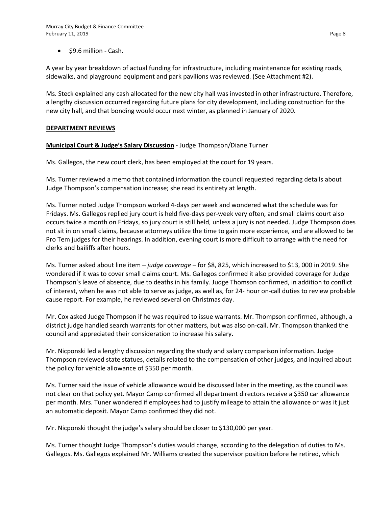• \$9.6 million - Cash.

A year by year breakdown of actual funding for infrastructure, including maintenance for existing roads, sidewalks, and playground equipment and park pavilions was reviewed. (See Attachment #2).

Ms. Steck explained any cash allocated for the new city hall was invested in other infrastructure. Therefore, a lengthy discussion occurred regarding future plans for city development, including construction for the new city hall, and that bonding would occur next winter, as planned in January of 2020.

## **DEPARTMENT REVIEWS**

## **Municipal Court & Judge's Salary Discussion** - Judge Thompson/Diane Turner

Ms. Gallegos, the new court clerk, has been employed at the court for 19 years.

Ms. Turner reviewed a memo that contained information the council requested regarding details about Judge Thompson's compensation increase; she read its entirety at length.

Ms. Turner noted Judge Thompson worked 4-days per week and wondered what the schedule was for Fridays. Ms. Gallegos replied jury court is held five-days per-week very often, and small claims court also occurs twice a month on Fridays, so jury court is still held, unless a jury is not needed. Judge Thompson does not sit in on small claims, because attorneys utilize the time to gain more experience, and are allowed to be Pro Tem judges for their hearings. In addition, evening court is more difficult to arrange with the need for clerks and bailiffs after hours.

Ms. Turner asked about line item – *judge coverage* – for \$8, 825, which increased to \$13, 000 in 2019. She wondered if it was to cover small claims court. Ms. Gallegos confirmed it also provided coverage for Judge Thompson's leave of absence, due to deaths in his family. Judge Thomson confirmed, in addition to conflict of interest, when he was not able to serve as judge, as well as, for 24- hour on-call duties to review probable cause report. For example, he reviewed several on Christmas day.

Mr. Cox asked Judge Thompson if he was required to issue warrants. Mr. Thompson confirmed, although, a district judge handled search warrants for other matters, but was also on-call. Mr. Thompson thanked the council and appreciated their consideration to increase his salary.

Mr. Nicponski led a lengthy discussion regarding the study and salary comparison information. Judge Thompson reviewed state statues, details related to the compensation of other judges, and inquired about the policy for vehicle allowance of \$350 per month.

Ms. Turner said the issue of vehicle allowance would be discussed later in the meeting, as the council was not clear on that policy yet. Mayor Camp confirmed all department directors receive a \$350 car allowance per month. Mrs. Tuner wondered if employees had to justify mileage to attain the allowance or was it just an automatic deposit. Mayor Camp confirmed they did not.

Mr. Nicponski thought the judge's salary should be closer to \$130,000 per year.

Ms. Turner thought Judge Thompson's duties would change, according to the delegation of duties to Ms. Gallegos. Ms. Gallegos explained Mr. Williams created the supervisor position before he retired, which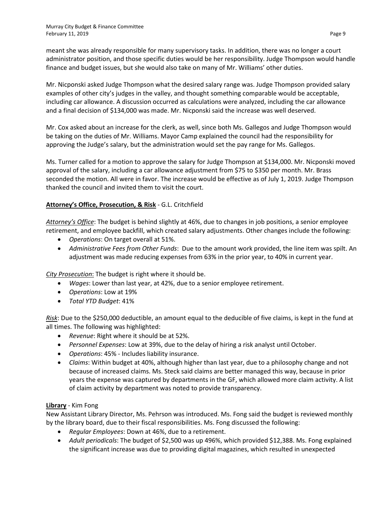meant she was already responsible for many supervisory tasks. In addition, there was no longer a court administrator position, and those specific duties would be her responsibility. Judge Thompson would handle finance and budget issues, but she would also take on many of Mr. Williams' other duties.

Mr. Nicponski asked Judge Thompson what the desired salary range was. Judge Thompson provided salary examples of other city's judges in the valley, and thought something comparable would be acceptable, including car allowance. A discussion occurred as calculations were analyzed, including the car allowance and a final decision of \$134,000 was made. Mr. Nicponski said the increase was well deserved.

Mr. Cox asked about an increase for the clerk, as well, since both Ms. Gallegos and Judge Thompson would be taking on the duties of Mr. Williams. Mayor Camp explained the council had the responsibility for approving the Judge's salary, but the administration would set the pay range for Ms. Gallegos.

Ms. Turner called for a motion to approve the salary for Judge Thompson at \$134,000. Mr. Nicponski moved approval of the salary, including a car allowance adjustment from \$75 to \$350 per month. Mr. Brass seconded the motion. All were in favor. The increase would be effective as of July 1, 2019. Judge Thompson thanked the council and invited them to visit the court.

# **Attorney's Office, Prosecution, & Risk** - G.L. Critchfield

*Attorney's Office*: The budget is behind slightly at 46%, due to changes in job positions, a senior employee retirement, and employee backfill, which created salary adjustments. Other changes include the following:

- *Operations*: On target overall at 51%.
- *Administrative Fees from Other Funds*: Due to the amount work provided, the line item was spilt. An adjustment was made reducing expenses from 63% in the prior year, to 40% in current year.

*City Prosecution*: The budget is right where it should be.

- *Wages*: Lower than last year, at 42%, due to a senior employee retirement.
- *Operations*: Low at 19%
- *Total YTD Budget*: 41%

*Risk*: Due to the \$250,000 deductible, an amount equal to the deducible of five claims, is kept in the fund at all times. The following was highlighted:

- *Revenue*: Right where it should be at 52%.
- *Personnel Expenses*: Low at 39%, due to the delay of hiring a risk analyst until October.
- *Operations*: 45% Includes liability insurance.
- *Claims*: Within budget at 40%, although higher than last year, due to a philosophy change and not because of increased claims. Ms. Steck said claims are better managed this way, because in prior years the expense was captured by departments in the GF, which allowed more claim activity. A list of claim activity by department was noted to provide transparency.

## **Library** - Kim Fong

New Assistant Library Director, Ms. Pehrson was introduced. Ms. Fong said the budget is reviewed monthly by the library board, due to their fiscal responsibilities. Ms. Fong discussed the following:

- *Regular Employees*: Down at 46%, due to a retirement.
- *Adult periodicals*: The budget of \$2,500 was up 496%, which provided \$12,388. Ms. Fong explained the significant increase was due to providing digital magazines, which resulted in unexpected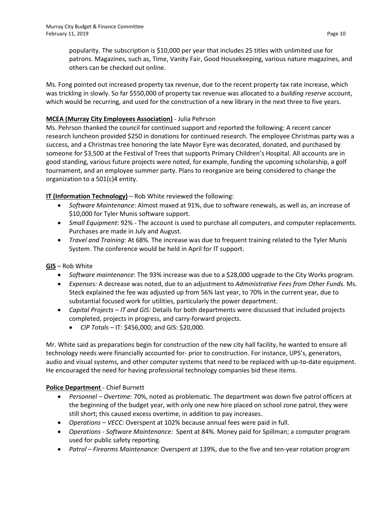popularity. The subscription is \$10,000 per year that includes 25 titles with unlimited use for patrons. Magazines, such as, Time, Vanity Fair, Good Housekeeping, various nature magazines, and others can be checked out online.

Ms. Fong pointed out increased property tax revenue, due to the recent property tax rate increase, which was trickling in slowly. So far \$550,000 of property tax revenue was allocated to a *building reserve* account, which would be recurring, and used for the construction of a new library in the next three to five years.

# **MCEA (Murray City Employees Association)** - Julia Pehrson

Ms. Pehrson thanked the council for continued support and reported the following: A recent cancer research luncheon provided \$250 in donations for continued research. The employee Christmas party was a success, and a Christmas tree honoring the late Mayor Eyre was decorated, donated, and purchased by someone for \$3,500 at the Festival of Trees that supports Primary Children's Hospital. All accounts are in good standing, various future projects were noted, for example, funding the upcoming scholarship, a golf tournament, and an employee summer party. Plans to reorganize are being considered to change the organization to a 501(c)4 entity.

**IT (Information Technology)** – Rob White reviewed the following:

- *Software Maintenance*: Almost maxed at 91%, due to software renewals, as well as, an increase of \$10,000 for Tyler Munis software support.
- *Small Equipment*: 92% The account is used to purchase all computers, and computer replacements. Purchases are made in July and August.
- *Travel and Training*: At 68%. The increase was due to frequent training related to the Tyler Munis System. The conference would be held in April for IT support.

**GIS** – Rob White

- *Software maintenance*: The 93% increase was due to a \$28,000 upgrade to the City Works program.
- *Expenses:* A decrease was noted, due to an adjustment to *Administrative Fees from Other Funds.* Ms. Steck explained the fee was adjusted up from 56% last year, to 70% in the current year, due to substantial focused work for utilities, particularly the power department.
- *Capital Projects – IT and GIS:* Details for both departments were discussed that included projects completed, projects in progress, and carry-forward projects.
	- *CIP Totals*  IT: \$456,000; and GIS: \$20,000.

Mr. White said as preparations begin for construction of the new city hall facility, he wanted to ensure all technology needs were financially accounted for- prior to construction. For instance, UPS's, generators, audio and visual systems, and other computer systems that need to be replaced with up-to-date equipment. He encouraged the need for having professional technology companies bid these items.

# **Police Department** - Chief Burnett

- *Personnel Overtime*: 70%, noted as problematic. The department was down five patrol officers at the beginning of the budget year, with only one new hire placed on school zone patrol, they were still short; this caused excess overtime, in addition to pay increases.
- *Operations – VECC:* Overspent at 102% because annual fees were paid in full.
- *Operations - Software Maintenance:* Spent at 84%. Money paid for Spillman; a computer program used for public safety reporting.
- *Patrol – Firearms Maintenance:* Overspent at 139%, due to the five and ten-year rotation program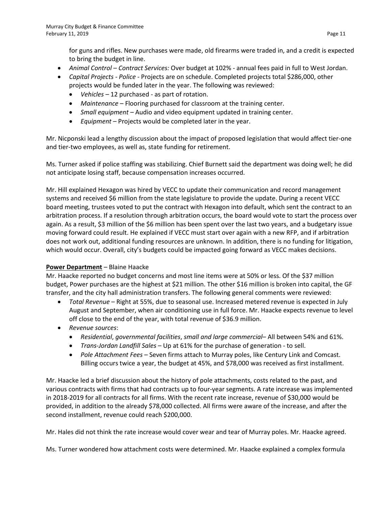for guns and rifles. New purchases were made, old firearms were traded in, and a credit is expected to bring the budget in line.

- *Animal Control – Contract Services:* Over budget at 102% annual fees paid in full to West Jordan.
- *Capital Projects - Police* Projects are on schedule. Completed projects total \$286,000, other projects would be funded later in the year. The following was reviewed:
	- *Vehicles –* 12 purchased as part of rotation.
	- *Maintenance* Flooring purchased for classroom at the training center.
	- *Small equipment –* Audio and video equipment updated in training center.
	- *Equipment* Projects would be completed later in the year.

Mr. Nicponski lead a lengthy discussion about the impact of proposed legislation that would affect tier-one and tier-two employees, as well as, state funding for retirement.

Ms. Turner asked if police staffing was stabilizing. Chief Burnett said the department was doing well; he did not anticipate losing staff, because compensation increases occurred.

Mr. Hill explained Hexagon was hired by VECC to update their communication and record management systems and received \$6 million from the state legislature to provide the update. During a recent VECC board meeting, trustees voted to put the contract with Hexagon into default, which sent the contract to an arbitration process. If a resolution through arbitration occurs, the board would vote to start the process over again. As a result, \$3 million of the \$6 million has been spent over the last two years, and a budgetary issue moving forward could result. He explained if VECC must start over again with a new RFP, and if arbitration does not work out, additional funding resources are unknown. In addition, there is no funding for litigation, which would occur. Overall, city's budgets could be impacted going forward as VECC makes decisions.

## **Power Department** – Blaine Haacke

Mr. Haacke reported no budget concerns and most line items were at 50% or less. Of the \$37 million budget, Power purchases are the highest at \$21 million. The other \$16 million is broken into capital, the GF transfer, and the city hall administration transfers. The following general comments were reviewed:

- *Total Revenue* Right at 55%, due to seasonal use. Increased metered revenue is expected in July August and September, when air conditioning use in full force. Mr. Haacke expects revenue to level off close to the end of the year, with total revenue of \$36.9 million.
- *Revenue sources*:
	- *Residential*, *governmental facilities*, *small and large commercial* All between 54% and 61%.
	- *Trans-Jordan Landfill Sales*  Up at 61% for the purchase of generation to sell.
	- *Pole Attachment Fees –* Seven firms attach to Murray poles, like Century Link and Comcast. Billing occurs twice a year, the budget at 45%, and \$78,000 was received as first installment.

Mr. Haacke led a brief discussion about the history of pole attachments, costs related to the past, and various contracts with firms that had contracts up to four-year segments. A rate increase was implemented in 2018-2019 for all contracts for all firms. With the recent rate increase, revenue of \$30,000 would be provided, in addition to the already \$78,000 collected. All firms were aware of the increase, and after the second installment, revenue could reach \$200,000.

Mr. Hales did not think the rate increase would cover wear and tear of Murray poles. Mr. Haacke agreed.

Ms. Turner wondered how attachment costs were determined. Mr. Haacke explained a complex formula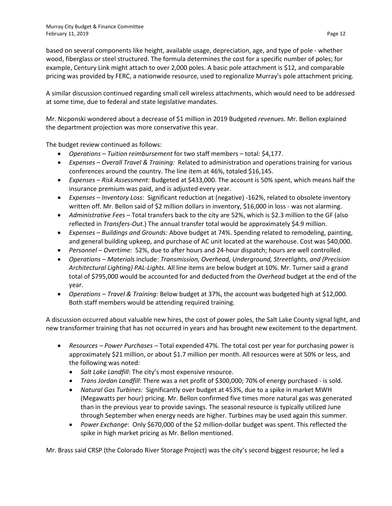based on several components like height, available usage, depreciation, age, and type of pole - whether wood, fiberglass or steel structured. The formula determines the cost for a specific number of poles; for example, Century Link might attach to over 2,000 poles. A basic pole attachment is \$12, and comparable pricing was provided by FERC, a nationwide resource, used to regionalize Murray's pole attachment pricing.

A similar discussion continued regarding small cell wireless attachments, which would need to be addressed at some time, due to federal and state legislative mandates.

Mr. Nicponski wondered about a decrease of \$1 million in 2019 Budgeted *revenues*. Mr. Bellon explained the department projection was more conservative this year.

The budget review continued as follows:

- *Operations – Tuition reimbursement* for two staff members total: \$4,177.
- *Expenses – Overall Travel & Training:* Related to administration and operations training for various conferences around the country. The line item at 46%, totaled \$16,145.
- *Expenses – Risk Assessment:* Budgeted at \$433,000. The account is 50% spent, which means half the insurance premium was paid, and is adjusted every year.
- *Expenses – Inventory Loss:* Significant reduction at (negative) -162%, related to obsolete inventory written off. Mr. Bellon said of \$2 million dollars in inventory, \$16,000 in loss - was not alarming.
- *Administrative Fees –* Total transfers back to the city are 52%, which is \$2.3 million to the GF (also reflected in *Transfers-Out*.) The annual transfer total would be approximately \$4.9 million.
- *Expenses – Buildings and Grounds:* Above budget at 74%. Spending related to remodeling, painting, and general building upkeep, and purchase of AC unit located at the warehouse. Cost was \$40,000.
- *Personnel – Overtime:* 52%, due to after hours and 24-hour dispatch; hours are well controlled.
- *Operations – Materials* include: *Transmission, Overhead, Underground, Streetlights, and (Precision Architectural Lighting) PAL-Lights.* All line items are below budget at 10%. Mr. Turner said a grand total of \$795,000 would be accounted for and deducted from the *Overhead* budget at the end of the year.
- *Operations – Travel & Training:* Below budget at 37%, the account was budgeted high at \$12,000. Both staff members would be attending required training.

A discussion occurred about valuable new hires, the cost of power poles, the Salt Lake County signal light, and new transformer training that has not occurred in years and has brought new excitement to the department.

- *Resources – Power Purchases –* Total expended 47%. The total cost per year for purchasing power is approximately \$21 million, or about \$1.7 million per month. All resources were at 50% or less, and the following was noted:
	- *Salt Lake Landfill*: The city's most expensive resource.
	- *Trans Jordan Landfill*: There was a net profit of \$300,000; 70% of energy purchased is sold.
	- *Natural Gas Turbines:* Significantly over budget at 453%, due to a spike in market MWH (Megawatts per hour) pricing. Mr. Bellon confirmed five times more natural gas was generated than in the previous year to provide savings. The seasonal resource is typically utilized June through September when energy needs are higher. Turbines may be used again this summer.
	- *Power Exchange*: Only \$670,000 of the \$2 million-dollar budget was spent. This reflected the spike in high market pricing as Mr. Bellon mentioned.

Mr. Brass said CRSP (the Colorado River Storage Project) was the city's second biggest resource; he led a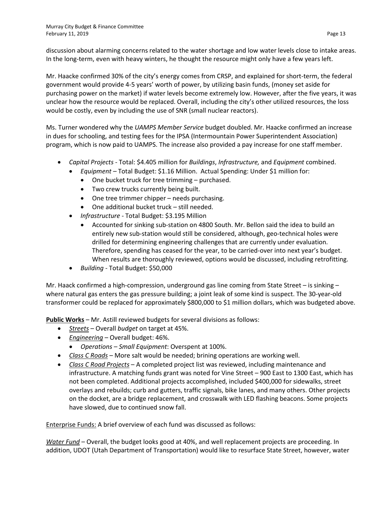discussion about alarming concerns related to the water shortage and low water levels close to intake areas. In the long-term, even with heavy winters, he thought the resource might only have a few years left.

Mr. Haacke confirmed 30% of the city's energy comes from CRSP, and explained for short-term, the federal government would provide 4-5 years' worth of power, by utilizing basin funds, (money set aside for purchasing power on the market) if water levels become extremely low. However, after the five years, it was unclear how the resource would be replaced. Overall, including the city's other utilized resources, the loss would be costly, even by including the use of SNR (small nuclear reactors).

Ms. Turner wondered why the *UAMPS Member Service* budget doubled. Mr. Haacke confirmed an increase in dues for schooling, and testing fees for the IPSA (Intermountain Power Superintendent Association) program, which is now paid to UAMPS. The increase also provided a pay increase for one staff member.

- *Capital Projects*  Total: \$4.405 million for *Buildings*, *Infrastructure,* and *Equipment* combined.
	- *Equipment –* Total Budget: \$1.16 Million. Actual Spending: Under \$1 million for:
		- One bucket truck for tree trimming purchased.
		- Two crew trucks currently being built.
		- One tree trimmer chipper needs purchasing.
		- One additional bucket truck still needed.
	- *Infrastructure* Total Budget: \$3.195 Million
		- Accounted for sinking sub-station on 4800 South. Mr. Bellon said the idea to build an entirely new sub-station would still be considered, although, geo-technical holes were drilled for determining engineering challenges that are currently under evaluation. Therefore, spending has ceased for the year, to be carried-over into next year's budget. When results are thoroughly reviewed, options would be discussed, including retrofitting.
	- *Building -* Total Budget: \$50,000

Mr. Haack confirmed a high-compression, underground gas line coming from State Street – is sinking – where natural gas enters the gas pressure building; a joint leak of some kind is suspect. The 30-year-old transformer could be replaced for approximately \$800,000 to \$1 million dollars, which was budgeted above.

**Public Works** – Mr. Astill reviewed budgets for several divisions as follows:

- *Streets* Overall *budget* on target at 45%.
- *Engineering* Overall budget: 46%.
- *Operations – Small Equipment*: Overspent at 100%.
- *Class C Roads* More salt would be needed; brining operations are working well.
- *Class C Road Projects* A completed project list was reviewed, including maintenance and infrastructure. A matching funds grant was noted for Vine Street – 900 East to 1300 East, which has not been completed. Additional projects accomplished, included \$400,000 for sidewalks, street overlays and rebuilds; curb and gutters, traffic signals, bike lanes, and many others. Other projects on the docket, are a bridge replacement, and crosswalk with LED flashing beacons. Some projects have slowed, due to continued snow fall.

Enterprise Funds: A brief overview of each fund was discussed as follows:

*Water Fund –* Overall, the budget looks good at 40%, and well replacement projects are proceeding. In addition, UDOT (Utah Department of Transportation) would like to resurface State Street, however, water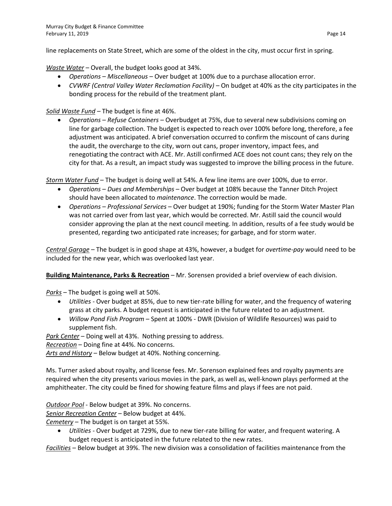line replacements on State Street, which are some of the oldest in the city, must occur first in spring.

*Waste Water* – Overall, the budget looks good at 34%.

- *Operations – Miscellaneous* Over budget at 100% due to a purchase allocation error.
- *CVWRF (Central Valley Water Reclamation Facility) –* On budget at 40% as the city participates in the bonding process for the rebuild of the treatment plant.

# *Solid Waste Fund –* The budget is fine at 46%.

• *Operations – Refuse Containers –* Overbudget at 75%, due to several new subdivisions coming on line for garbage collection. The budget is expected to reach over 100% before long, therefore, a fee adjustment was anticipated. A brief conversation occurred to confirm the miscount of cans during the audit, the overcharge to the city, worn out cans, proper inventory, impact fees, and renegotiating the contract with ACE. Mr. Astill confirmed ACE does not count cans; they rely on the city for that. As a result, an impact study was suggested to improve the billing process in the future.

*Storm Water Fund* – The budget is doing well at 54%. A few line items are over 100%, due to error.

- *Operations – Dues and Memberships –* Over budget at 108% because the Tanner Ditch Project should have been allocated to *maintenance*. The correction would be made.
- *Operations – Professional Services –* Over budget at 190%; funding for the Storm Water Master Plan was not carried over from last year, which would be corrected. Mr. Astill said the council would consider approving the plan at the next council meeting. In addition, results of a fee study would be presented, regarding two anticipated rate increases; for garbage, and for storm water.

*Central Garage* – The budget is in good shape at 43%, however, a budget for *overtime*-*pay* would need to be included for the new year, which was overlooked last year.

**Building Maintenance, Parks & Recreation** – Mr. Sorensen provided a brief overview of each division.

*Parks* – The budget is going well at 50%.

- *Utilities* Over budget at 85%, due to new tier-rate billing for water, and the frequency of watering grass at city parks. A budget request is anticipated in the future related to an adjustment.
- *Willow Pond Fish Program*  Spent at 100% DWR (Division of Wildlife Resources) was paid to supplement fish.

*Park Center* – Doing well at 43%. Nothing pressing to address.

*Recreation* – Doing fine at 44%. No concerns.

*Arts and History* – Below budget at 40%. Nothing concerning.

Ms. Turner asked about royalty, and license fees. Mr. Sorenson explained fees and royalty payments are required when the city presents various movies in the park, as well as, well-known plays performed at the amphitheater. The city could be fined for showing feature films and plays if fees are not paid.

*Outdoor Pool* - Below budget at 39%. No concerns.

*Senior Recreation Center* – Below budget at 44%.

*Cemetery* – The budget is on target at 55%.

• *Utilities* - Over budget at 729%, due to new tier-rate billing for water, and frequent watering. A budget request is anticipated in the future related to the new rates.

*Facilities* – Below budget at 39%. The new division was a consolidation of facilities maintenance from the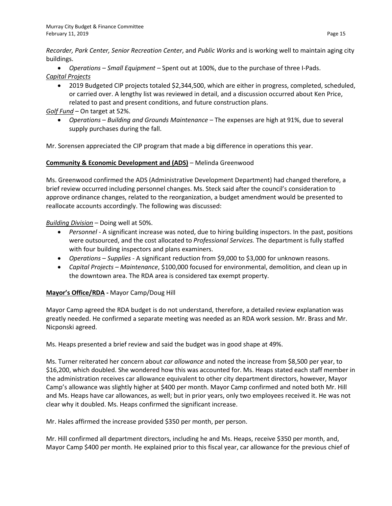*Recorder, Park Center, Senior Recreation Center*, and *Public Works* and is working well to maintain aging city buildings.

• *Operations – Small Equipment –* Spent out at 100%, due to the purchase of three I-Pads. *Capital Projects*

• 2019 Budgeted CIP projects totaled \$2,344,500, which are either in progress, completed, scheduled, or carried over. A lengthy list was reviewed in detail, and a discussion occurred about Ken Price, related to past and present conditions, and future construction plans.

# *Golf Fund* – On target at 52%.

• *Operations* – *Building and Grounds Maintenance –* The expenses are high at 91%, due to several supply purchases during the fall.

Mr. Sorensen appreciated the CIP program that made a big difference in operations this year.

## **Community & Economic Development and (ADS)** – Melinda Greenwood

Ms. Greenwood confirmed the ADS (Administrative Development Department) had changed therefore, a brief review occurred including personnel changes. Ms. Steck said after the council's consideration to approve ordinance changes, related to the reorganization, a budget amendment would be presented to reallocate accounts accordingly. The following was discussed:

*Building Division* – Doing well at 50%.

- *Personnel* A significant increase was noted, due to hiring building inspectors. In the past, positions were outsourced, and the cost allocated to *Professional Services.* The department is fully staffed with four building inspectors and plans examiners.
- *Operations – Supplies -* A significant reduction from \$9,000 to \$3,000 for unknown reasons.
- *Capital Projects – Maintenance*, \$100,000 focused for environmental, demolition, and clean up in the downtown area. The RDA area is considered tax exempt property.

## **Mayor's Office/RDA -** Mayor Camp/Doug Hill

Mayor Camp agreed the RDA budget is do not understand, therefore, a detailed review explanation was greatly needed. He confirmed a separate meeting was needed as an RDA work session. Mr. Brass and Mr. Nicponski agreed.

Ms. Heaps presented a brief review and said the budget was in good shape at 49%.

Ms. Turner reiterated her concern about *car allowance* and noted the increase from \$8,500 per year, to \$16,200, which doubled. She wondered how this was accounted for. Ms. Heaps stated each staff member in the administration receives car allowance equivalent to other city department directors, however, Mayor Camp's allowance was slightly higher at \$400 per month. Mayor Camp confirmed and noted both Mr. Hill and Ms. Heaps have car allowances, as well; but in prior years, only two employees received it. He was not clear why it doubled. Ms. Heaps confirmed the significant increase.

Mr. Hales affirmed the increase provided \$350 per month, per person.

Mr. Hill confirmed all department directors, including he and Ms. Heaps, receive \$350 per month, and, Mayor Camp \$400 per month. He explained prior to this fiscal year, car allowance for the previous chief of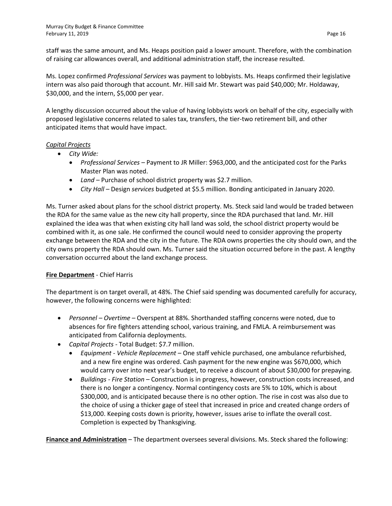staff was the same amount, and Ms. Heaps position paid a lower amount. Therefore, with the combination of raising car allowances overall, and additional administration staff, the increase resulted.

Ms. Lopez confirmed *Professional Services* was payment to lobbyists. Ms. Heaps confirmed their legislative intern was also paid thorough that account. Mr. Hill said Mr. Stewart was paid \$40,000; Mr. Holdaway, \$30,000, and the intern, \$5,000 per year.

A lengthy discussion occurred about the value of having lobbyists work on behalf of the city, especially with proposed legislative concerns related to sales tax, transfers, the tier-two retirement bill, and other anticipated items that would have impact.

## *Capital Projects*

- *City Wide:*
	- *Professional Services –* Payment to JR Miller: \$963,000, and the anticipated cost for the Parks Master Plan was noted.
	- *Land –* Purchase of school district property was \$2.7 million.
	- *City Hall –* Design *services* budgeted at \$5.5 million. Bonding anticipated in January 2020.

Ms. Turner asked about plans for the school district property. Ms. Steck said land would be traded between the RDA for the same value as the new city hall property, since the RDA purchased that land. Mr. Hill explained the idea was that when existing city hall land was sold, the school district property would be combined with it, as one sale. He confirmed the council would need to consider approving the property exchange between the RDA and the city in the future. The RDA owns properties the city should own, and the city owns property the RDA should own. Ms. Turner said the situation occurred before in the past. A lengthy conversation occurred about the land exchange process.

## **Fire Department** - Chief Harris

The department is on target overall, at 48%. The Chief said spending was documented carefully for accuracy, however, the following concerns were highlighted:

- *Personnel – Overtime –* Overspent at 88%. Shorthanded staffing concerns were noted, due to absences for fire fighters attending school, various training, and FMLA. A reimbursement was anticipated from California deployments.
- *Capital Projects -* Total Budget: \$7.7 million.
	- *Equipment - Vehicle Replacement –* One staff vehicle purchased, one ambulance refurbished, and a new fire engine was ordered. Cash payment for the new engine was \$670,000, which would carry over into next year's budget, to receive a discount of about \$30,000 for prepaying.
	- *Buildings - Fire Station –* Construction is in progress, however, construction costs increased, and there is no longer a contingency. Normal contingency costs are 5% to 10%, which is about \$300,000, and is anticipated because there is no other option. The rise in cost was also due to the choice of using a thicker gage of steel that increased in price and created change orders of \$13,000. Keeping costs down is priority, however, issues arise to inflate the overall cost. Completion is expected by Thanksgiving.

**Finance and Administration** – The department oversees several divisions. Ms. Steck shared the following: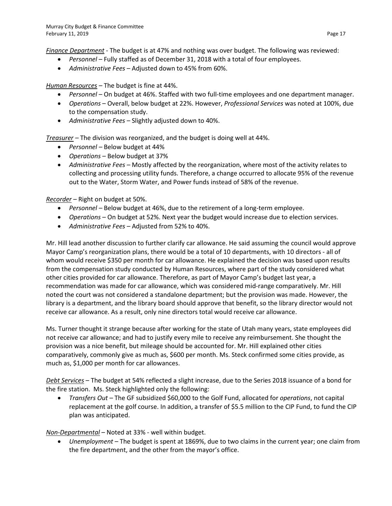*Finance Department* - The budget is at 47% and nothing was over budget. The following was reviewed:

- *Personnel* Fully staffed as of December 31, 2018 with a total of four employees.
- *Administrative Fees*  Adjusted down to 45% from 60%.

*Human Resources –* The budget is fine at 44%.

- *Personnel* On budget at 46%. Staffed with two full-time employees and one department manager.
- *Operations* Overall, below budget at 22%. However, *Professional Services* was noted at 100%, due to the compensation study.
- *Administrative Fees*  Slightly adjusted down to 40%.

*Treasurer –* The division was reorganized, and the budget is doing well at 44%.

- *Personnel –* Below budget at 44%
- *Operations –* Below budget at 37%
- *Administrative Fees –* Mostly affected by the reorganization, where most of the activity relates to collecting and processing utility funds. Therefore, a change occurred to allocate 95% of the revenue out to the Water, Storm Water, and Power funds instead of 58% of the revenue.

*Recorder* – Right on budget at 50%.

- *Personnel –* Below budget at 46%, due to the retirement of a long-term employee.
- *Operations –* On budget at 52%. Next year the budget would increase due to election services.
- *Administrative Fees –* Adjusted from 52% to 40%.

Mr. Hill lead another discussion to further clarify car allowance. He said assuming the council would approve Mayor Camp's reorganization plans, there would be a total of 10 departments, with 10 directors - all of whom would receive \$350 per month for car allowance. He explained the decision was based upon results from the compensation study conducted by Human Resources, where part of the study considered what other cities provided for car allowance. Therefore, as part of Mayor Camp's budget last year, a recommendation was made for car allowance, which was considered mid-range comparatively. Mr. Hill noted the court was not considered a standalone department; but the provision was made. However, the library is a department, and the library board should approve that benefit, so the library director would not receive car allowance. As a result, only nine directors total would receive car allowance.

Ms. Turner thought it strange because after working for the state of Utah many years, state employees did not receive car allowance; and had to justify every mile to receive any reimbursement. She thought the provision was a nice benefit, but mileage should be accounted for. Mr. Hill explained other cities comparatively, commonly give as much as, \$600 per month. Ms. Steck confirmed some cities provide, as much as, \$1,000 per month for car allowances.

*Debt Services* – The budget at 54% reflected a slight increase, due to the Series 2018 issuance of a bond for the fire station. Ms. Steck highlighted only the following:

• *Transfers Out –* The GF subsidized \$60,000 to the Golf Fund, allocated for *operations*, not capital replacement at the golf course. In addition, a transfer of \$5.5 million to the CIP Fund, to fund the CIP plan was anticipated.

*Non-Departmental* – Noted at 33% - well within budget.

• *Unemployment* – The budget is spent at 1869%, due to two claims in the current year; one claim from the fire department, and the other from the mayor's office.